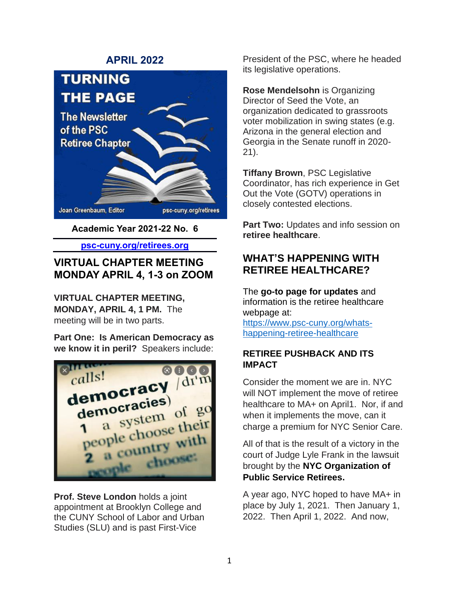### **APRIL 2022**



**Academic Year 2021-22 No. 6**

**psc-cuny.org/retirees.org**

# **VIRTUAL CHAPTER MEETING MONDAY APRIL 4, 1-3 on ZOOM**

**VIRTUAL CHAPTER MEETING, MONDAY, APRIL 4, 1 PM.** The meeting will be in two parts.

**Part One: Is American Democracy as we know it in peril?** Speakers include:



**Prof. Steve London** holds a joint appointment at Brooklyn College and the CUNY School of Labor and Urban Studies (SLU) and is past First-Vice

President of the PSC, where he headed its legislative operations.

**Rose Mendelsohn** is Organizing Director of Seed the Vote, an organization dedicated to grassroots voter mobilization in swing states (e.g. Arizona in the general election and Georgia in the Senate runoff in 2020- 21).

**Tiffany Brown**, PSC Legislative Coordinator, has rich experience in Get Out the Vote (GOTV) operations in closely contested elections.

**Part Two:** Updates and info session on **retiree healthcare**.

# **WHAT'S HAPPENING WITH RETIREE HEALTHCARE?**

The **go-to page for updates** and information is the retiree healthcare webpage at:

[https://www.psc-cuny.org/whats](https://www.psc-cuny.org/whats-happening-retiree-healthcare)[happening-retiree-healthcare](https://www.psc-cuny.org/whats-happening-retiree-healthcare)

### **RETIREE PUSHBACK AND ITS IMPACT**

Consider the moment we are in. NYC will NOT implement the move of retiree healthcare to MA+ on April1. Nor, if and when it implements the move, can it charge a premium for NYC Senior Care.

All of that is the result of a victory in the court of Judge Lyle Frank in the lawsuit brought by the **[NYC Organization of](https://www.facebook.com/groups/888622578669131/)  [Public Service Retirees.](https://www.facebook.com/groups/888622578669131/)**

A year ago, NYC hoped to have MA+ in place by July 1, 2021. Then January 1, 2022. Then April 1, 2022. And now,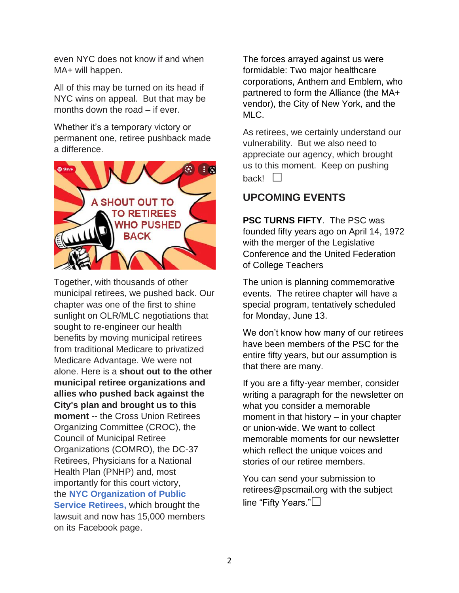even NYC does not know if and when MA+ will happen.

All of this may be turned on its head if NYC wins on appeal. But that may be months down the road – if ever.

Whether it's a temporary victory or permanent one, retiree pushback made a difference.



Together, with thousands of other municipal retirees, we pushed back. Our chapter was one of the first to shine sunlight on OLR/MLC negotiations that sought to re-engineer our health benefits by moving municipal retirees from traditional Medicare to privatized Medicare Advantage. We were not alone. Here is a **shout out to the other municipal retiree organizations and allies who pushed back against the City's plan and brought us to this moment** -- the Cross Union Retirees Organizing Committee (CROC), the Council of Municipal Retiree Organizations (COMRO), the DC-37 Retirees, Physicians for a National Health Plan (PNHP) and, most importantly for this court victory, the **[NYC Organization of Public](https://nycretirees.org/?fbclid=IwAR3I5pXd0mTleyNnihSvc9IGCnXa-q7k_rjdIgG55w4Lo4ea0cYmgA5ArX0)  [Service Retirees,](https://nycretirees.org/?fbclid=IwAR3I5pXd0mTleyNnihSvc9IGCnXa-q7k_rjdIgG55w4Lo4ea0cYmgA5ArX0)** which brought the lawsuit and now has 15,000 members on its Facebook page.

The forces arrayed against us were formidable: Two major healthcare corporations, Anthem and Emblem, who partnered to form the Alliance (the MA+ vendor), the City of New York, and the MLC.

As retirees, we certainly understand our vulnerability. But we also need to appreciate our agency, which brought us to this moment. Keep on pushing back! $\Box$ 

# **UPCOMING EVENTS**

**PSC TURNS FIFTY**. The PSC was founded fifty years ago on April 14, 1972 with the merger of the Legislative Conference and the United Federation of College Teachers

The union is planning commemorative events. The retiree chapter will have a special program, tentatively scheduled for Monday, June 13.

We don't know how many of our retirees have been members of the PSC for the entire fifty years, but our assumption is that there are many.

If you are a fifty-year member, consider writing a paragraph for the newsletter on what you consider a memorable moment in that history – in your chapter or union-wide. We want to collect memorable moments for our newsletter which reflect the unique voices and stories of our retiree members.

You can send your submission to [retirees@pscmail.org](mailto:retirees@pscmail.org) with the subject line "Fifty Years."**□**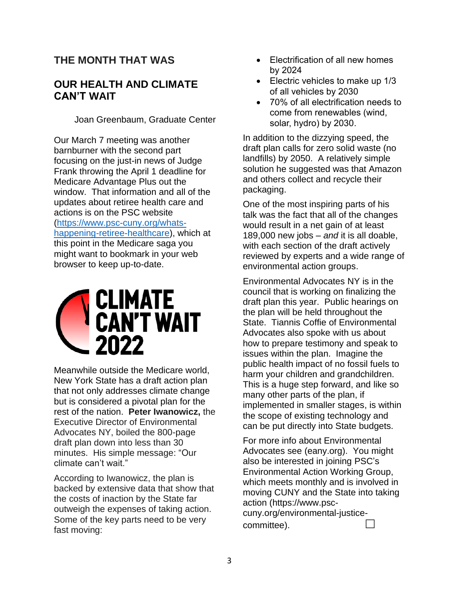# **THE MONTH THAT WAS**

## **OUR HEALTH AND CLIMATE CAN'T WAIT**

Joan Greenbaum, Graduate Center

Our March 7 meeting was another barnburner with the second part focusing on the just-in news of Judge Frank throwing the April 1 deadline for Medicare Advantage Plus out the window. That information and all of the updates about retiree health care and actions is on the PSC website [\(https://www.psc-cuny.org/whats](https://www.psc-cuny.org/whats-happening-retiree-healthcare)[happening-retiree-healthcare\)](https://www.psc-cuny.org/whats-happening-retiree-healthcare), which at this point in the Medicare saga you might want to bookmark in your web browser to keep up-to-date.



Meanwhile outside the Medicare world, New York State has a draft action plan that not only addresses climate change but is considered a pivotal plan for the rest of the nation. **Peter Iwanowicz,** the Executive Director of Environmental Advocates NY, boiled the 800-page draft plan down into less than 30 minutes. His simple message: "Our climate can't wait."

According to Iwanowicz, the plan is backed by extensive data that show that the costs of inaction by the State far outweigh the expenses of taking action. Some of the key parts need to be very fast moving:

- Electrification of all new homes by 2024
- Electric vehicles to make up 1/3 of all vehicles by 2030
- 70% of all electrification needs to come from renewables (wind, solar, hydro) by 2030.

In addition to the dizzying speed, the draft plan calls for zero solid waste (no landfills) by 2050. A relatively simple solution he suggested was that Amazon and others collect and recycle their packaging.

One of the most inspiring parts of his talk was the fact that all of the changes would result in a net gain of at least 189,000 new jobs – *and* it is all doable, with each section of the draft actively reviewed by experts and a wide range of environmental action groups.

Environmental Advocates NY is in the council that is working on finalizing the draft plan this year. Public hearings on the plan will be held throughout the State. Tiannis Coffie of Environmental Advocates also spoke with us about how to prepare testimony and speak to issues within the plan. Imagine the public health impact of no fossil fuels to harm your children and grandchildren. This is a huge step forward, and like so many other parts of the plan, if implemented in smaller stages, is within the scope of existing technology and can be put directly into State budgets.

For more info about Environmental Advocates see (eany.org). You might also be interested in joining PSC's Environmental Action Working Group, which meets monthly and is involved in moving CUNY and the State into taking action (https://www.psccuny.org/environmental-justicecommittee).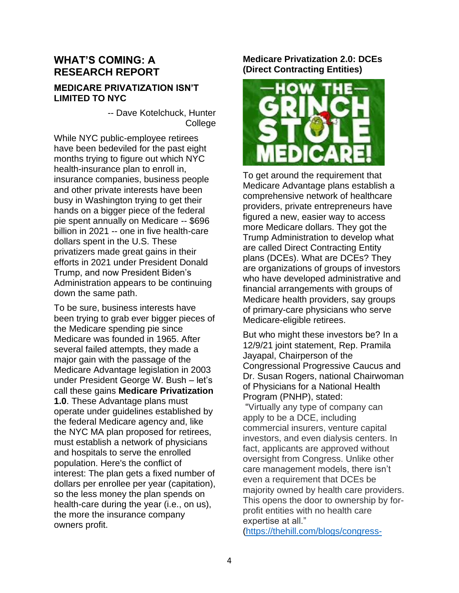## **WHAT'S COMING: A RESEARCH REPORT**

#### **MEDICARE PRIVATIZATION ISN'T LIMITED TO NYC**

-- Dave Kotelchuck, Hunter College

While NYC public-employee retirees have been bedeviled for the past eight months trying to figure out which NYC health-insurance plan to enroll in, insurance companies, business people and other private interests have been busy in Washington trying to get their hands on a bigger piece of the federal pie spent annually on Medicare -- \$696 billion in 2021 -- one in five health-care dollars spent in the U.S. These privatizers made great gains in their efforts in 2021 under President Donald Trump, and now President Biden's Administration appears to be continuing down the same path.

To be sure, business interests have been trying to grab ever bigger pieces of the Medicare spending pie since Medicare was founded in 1965. After several failed attempts, they made a major gain with the passage of the Medicare Advantage legislation in 2003 under President George W. Bush – let's call these gains **Medicare Privatization 1.0**. These Advantage plans must operate under guidelines established by the federal Medicare agency and, like the NYC MA plan proposed for retirees, must establish a network of physicians and hospitals to serve the enrolled population. Here's the conflict of interest: The plan gets a fixed number of dollars per enrollee per year (capitation), so the less money the plan spends on health-care during the year (i.e., on us), the more the insurance company owners profit.

### **Medicare Privatization 2.0: DCEs (Direct Contracting Entities)**



To get around the requirement that Medicare Advantage plans establish a comprehensive network of healthcare providers, private entrepreneurs have figured a new, easier way to access more Medicare dollars. They got the Trump Administration to develop what are called Direct Contracting Entity plans (DCEs). What are DCEs? They are organizations of groups of investors who have developed administrative and financial arrangements with groups of Medicare health providers, say groups of primary-care physicians who serve Medicare-eligible retirees.

But who might these investors be? In a 12/9/21 joint statement, Rep. Pramila Jayapal, Chairperson of the Congressional Progressive Caucus and Dr. Susan Rogers, national Chairwoman of Physicians for a National Health Program (PNHP), stated:

"Virtually any type of company can apply to be a [DCE,](https://urldefense.com/v3/__https:/innovation.cms.gov/media/document/gpdc-model-participant-announcement__;!!AQdq3sQhfUj4q8uUguY!yrQFoiZIytjC09KJ3sTZLmkh3wmbsrQuuTfsdqJ_aKQeQeOf62-D_fc3huFGw47BLwNi$) including commercial insurers, venture capital investors, and even dialysis centers. In fact, applicants are [approved](https://urldefense.com/v3/__https:/innovation.cms.gov/media/document/gpdc-model-general-faqs__;!!AQdq3sQhfUj4q8uUguY!yrQFoiZIytjC09KJ3sTZLmkh3wmbsrQuuTfsdqJ_aKQeQeOf62-D_fc3huFGw8QqtE6o$) without oversight from Congress. Unlike other care management models, there isn't even a requirement that DCEs be majority owned by health care providers. This opens the door to ownership by forprofit entities with no health care expertise at all."

[\(https://thehill.com/blogs/congress-](https://thehill.com/blogs/congress-blog/healthcare/585103-the-biggest-threat-to-medicare-youve-never-even-heard-of)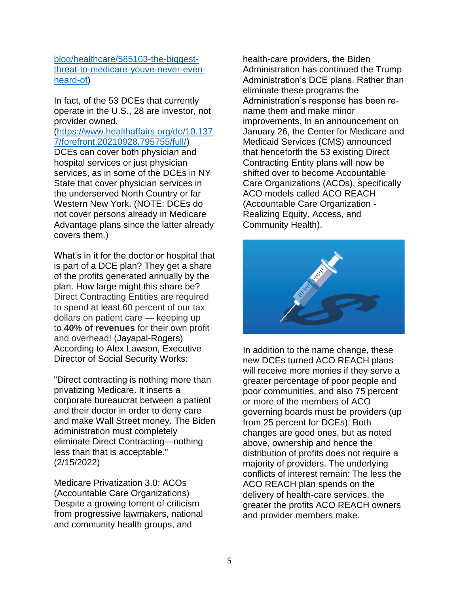#### [blog/healthcare/585103-the-biggest](https://thehill.com/blogs/congress-blog/healthcare/585103-the-biggest-threat-to-medicare-youve-never-even-heard-of)[threat-to-medicare-youve-never-even](https://thehill.com/blogs/congress-blog/healthcare/585103-the-biggest-threat-to-medicare-youve-never-even-heard-of)[heard-of\)](https://thehill.com/blogs/congress-blog/healthcare/585103-the-biggest-threat-to-medicare-youve-never-even-heard-of)

In fact, of the 53 DCEs that currently operate in the U.S., 28 are investor, not provider owned.

[\(https://www.healthaffairs.org/do/10.137](https://www.healthaffairs.org/do/10.1377/forefront.20210928.795755/full/) [7/forefront.20210928.795755/full/\)](https://www.healthaffairs.org/do/10.1377/forefront.20210928.795755/full/)

DCEs can cover both physician and hospital services or just physician services, as in some of the DCEs in NY State that cover physician services in the underserved North Country or far Western New York. (NOTE: DCEs do not cover persons already in Medicare Advantage plans since the latter already covers them.)

What's in it for the doctor or hospital that is part of a DCE plan? They get a share of the profits generated annually by the plan. How large might this share be? Direct Contracting Entities are required to [spend](https://urldefense.com/v3/__https:/www.healthaffairs.org/do/10.1377/hblog20210928.795755/full/__;!!AQdq3sQhfUj4q8uUguY!yrQFoiZIytjC09KJ3sTZLmkh3wmbsrQuuTfsdqJ_aKQeQeOf62-D_fc3huFGw5ZShWmS$) at least 60 percent of our tax dollars on patient care — keeping up to **[40%](https://urldefense.com/v3/__https:/www.healthaffairs.org/do/10.1377/hblog20210928.795755/full/__;!!AQdq3sQhfUj4q8uUguY!yrQFoiZIytjC09KJ3sTZLmkh3wmbsrQuuTfsdqJ_aKQeQeOf62-D_fc3huFGw5ZShWmS$) of revenues** for their own profit and overhead! (Jayapal-Rogers) According to Alex Lawson, Executive Director of Social Security Works:

"Direct contracting is nothing more than privatizing Medicare. It inserts a corporate bureaucrat between a patient and their doctor in order to deny care and make Wall Street money. The Biden administration must completely eliminate Direct Contracting—nothing less than that is acceptable." (2/15/2022)

Medicare Privatization 3.0: ACOs (Accountable Care Organizations) Despite a growing torrent of criticism from progressive lawmakers, national and community health groups, and

health-care providers, the Biden Administration has continued the Trump Administration's DCE plans. Rather than eliminate these programs the Administration's response has been rename them and make minor improvements. In an announcement on January 26, the Center for Medicare and Medicaid Services (CMS) announced that henceforth the 53 existing Direct Contracting Entity plans will now be shifted over to become Accountable Care Organizations (ACOs), specifically ACO models called ACO REACH (Accountable Care Organization - Realizing Equity, Access, and Community Health).



In addition to the name change, these new DCEs turned ACO REACH plans will receive more monies if they serve a greater percentage of poor people and poor communities, and also 75 percent or more of the members of ACO governing boards must be providers (up from 25 percent for DCEs). Both changes are good ones, but as noted above, ownership and hence the distribution of profits does not require a majority of providers. The underlying conflicts of interest remain: The less the ACO REACH plan spends on the delivery of health-care services, the greater the profits ACO REACH owners and provider members make.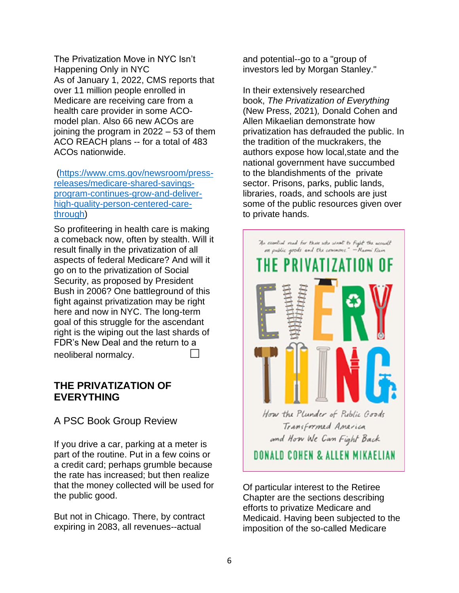The Privatization Move in NYC Isn't Happening Only in NYC As of January 1, 2022, CMS reports that over 11 million people enrolled in Medicare are receiving care from a health care provider in some ACOmodel plan. Also 66 new ACOs are joining the program in 2022 – 53 of them ACO REACH plans -- for a total of 483 ACOs nationwide.

[\(https://www.cms.gov/newsroom/press](https://www.cms.gov/newsroom/press-releases/medicare-shared-savings-program-continues-grow-and-deliver-high-quality-person-centered-care-through)[releases/medicare-shared-savings](https://www.cms.gov/newsroom/press-releases/medicare-shared-savings-program-continues-grow-and-deliver-high-quality-person-centered-care-through)[program-continues-grow-and-deliver](https://www.cms.gov/newsroom/press-releases/medicare-shared-savings-program-continues-grow-and-deliver-high-quality-person-centered-care-through)[high-quality-person-centered-care](https://www.cms.gov/newsroom/press-releases/medicare-shared-savings-program-continues-grow-and-deliver-high-quality-person-centered-care-through)[through\)](https://www.cms.gov/newsroom/press-releases/medicare-shared-savings-program-continues-grow-and-deliver-high-quality-person-centered-care-through)

So profiteering in health care is making a comeback now, often by stealth. Will it result finally in the privatization of all aspects of federal Medicare? And will it go on to the privatization of Social Security, as proposed by President Bush in 2006? One battleground of this fight against privatization may be right here and now in NYC. The long-term goal of this struggle for the ascendant right is the wiping out the last shards of FDR's New Deal and the return to a neoliberal normalcy.

### **THE PRIVATIZATION OF EVERYTHING**

## A PSC Book Group Review

If you drive a car, parking at a meter is part of the routine. Put in a few coins or a credit card; perhaps grumble because the rate has increased; but then realize that the money collected will be used for the public good.

But not in Chicago. There, by contract expiring in 2083, all revenues--actual

and potential--go to a "group of investors led by Morgan Stanley."

In their extensively researched book, *The Privatization of Everything*  (New Press, 2021)*,* Donald Cohen and Allen Mikaelian demonstrate how privatization has defrauded the public. In the tradition of the muckrakers, the authors expose how local,state and the national government have succumbed to the blandishments of the private sector. Prisons, parks, public lands, libraries, roads, and schools are just some of the public resources given over to private hands.



Of particular interest to the Retiree Chapter are the sections describing efforts to privatize Medicare and Medicaid. Having been subjected to the imposition of the so-called Medicare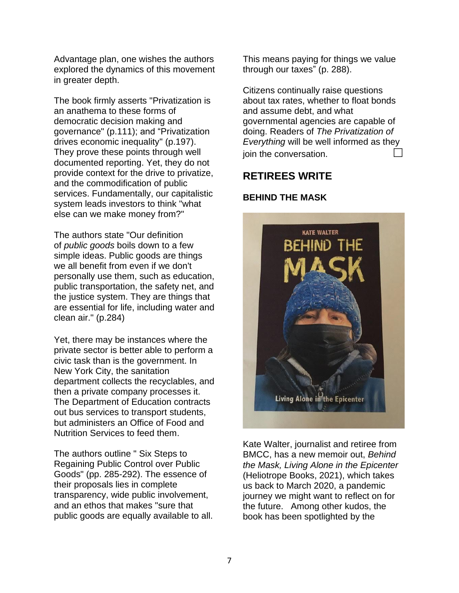Advantage plan, one wishes the authors explored the dynamics of this movement in greater depth.

The book firmly asserts "Privatization is an anathema to these forms of democratic decision making and governance" (p.111); and "Privatization drives economic inequality" (p.197). They prove these points through well documented reporting. Yet, they do not provide context for the drive to privatize, and the commodification of public services. Fundamentally, our capitalistic system leads investors to think "what else can we make money from?"

The authors state "Our definition of *public goods* boils down to a few simple ideas. Public goods are things we all benefit from even if we don't personally use them, such as education, public transportation, the safety net, and the justice system. They are things that are essential for life, including water and clean air." (p.284)

Yet, there may be instances where the private sector is better able to perform a civic task than is the government. In New York City, the sanitation department collects the recyclables, and then a private company processes it. The Department of Education contracts out bus services to transport students, but administers an Office of Food and Nutrition Services to feed them.

The authors outline " Six Steps to Regaining Public Control over Public Goods" (pp. 285-292). The essence of their proposals lies in complete transparency, wide public involvement, and an ethos that makes "sure that public goods are equally available to all. This means paying for things we value through our taxes" (p. 288).

Citizens continually raise questions about tax rates, whether to float bonds and assume debt, and what governmental agencies are capable of doing. Readers of *The Privatization of Everything* will be well informed as they join the conversation.

### **RETIREES WRITE**

#### **BEHIND THE MASK**



Kate Walter, journalist and retiree from BMCC, has a new memoir out, *Behind the Mask, Living Alone in the Epicenter* (Heliotrope Books, 2021), which takes us back to March 2020, a pandemic journey we might want to reflect on for the future. Among other kudos, the book has been spotlighted by the